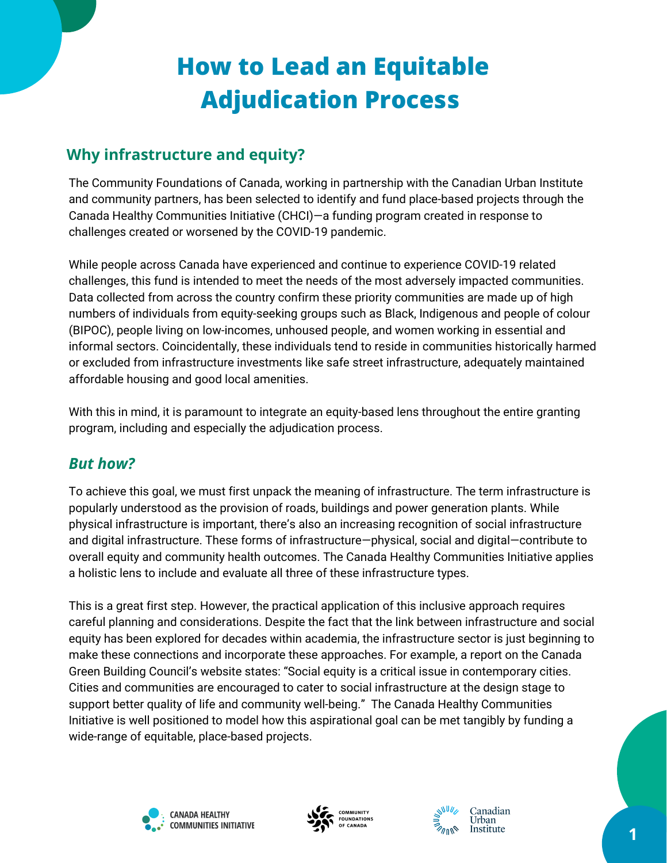# **How to Lead an Equitable Adjudication Process**

# **Why infrastructure and equity?**

The Community Foundations of Canada, working in partnership with the Canadian Urban Institute and community partners, has been selected to identify and fund place-based projects through the Canada Healthy Communities Initiative (CHCI)—a funding program created in response to challenges created or worsened by the COVID-19 pandemic.

While people across Canada have experienced and continue to experience COVID-19 related challenges, this fund is intended to meet the needs of the most adversely impacted communities. Data collected from across the country confirm these priority communities are made up of high numbers of individuals from equity-seeking groups such as Black, Indigenous and people of colour (BIPOC), people living on low-incomes, unhoused people, and women working in essential and informal sectors. Coincidentally, these individuals tend to reside in communities historically harmed or excluded from infrastructure investments like safe street infrastructure, adequately maintained affordable housing and good local amenities.

With this in mind, it is paramount to integrate an equity-based lens throughout the entire granting program, including and especially the adjudication process.

### *But how?*

To achieve this goal, we must first unpack the meaning of infrastructure. The term infrastructure is popularly understood as the provision of roads, buildings and power generation plants. While physical infrastructure is important, there's also an increasing recognition of social infrastructure and digital infrastructure. These forms of infrastructure—physical, social and digital—contribute to overall equity and community health outcomes. The Canada Healthy Communities Initiative applies a holistic lens to include and evaluate all three of these infrastructure types.

This is a great first step. However, the practical application of this inclusive approach requires careful planning and considerations. Despite the fact that the link between infrastructure and social equity has been explored for decades within academia, the infrastructure sector is just beginning to make these connections and incorporate these approaches. For example, a report on the Canada Green Building Council's website states: "Social equity is a critical issue in contemporary cities. Cities and communities are encouraged to cater to social infrastructure at the design stage to support better quality of life and community well-being." The Canada Healthy Communities Initiative is well positioned to model how this aspirational goal can be met tangibly by funding a wide-range of equitable, place-based projects.





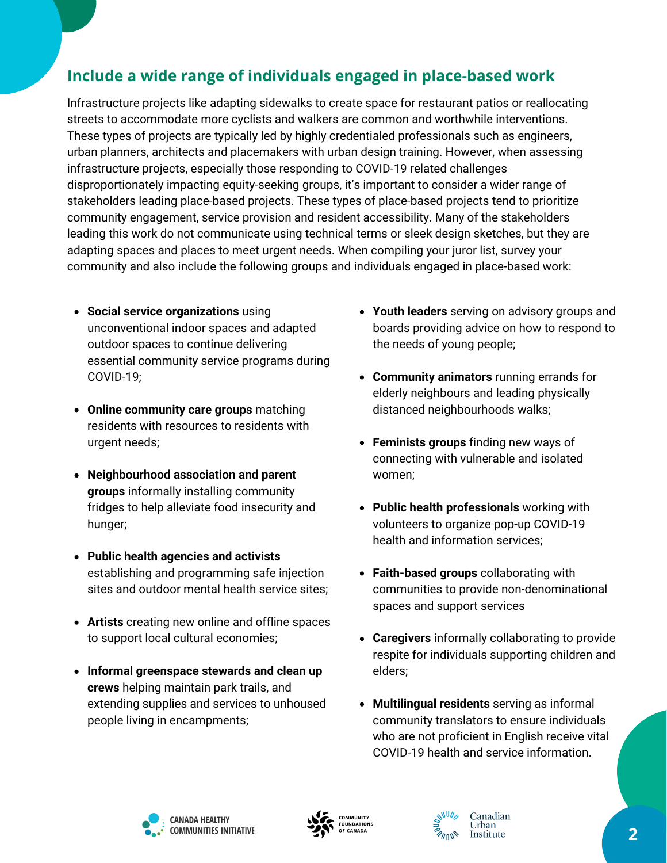# **Include a wide range of individuals engaged in place-based work**

Infrastructure projects like adapting sidewalks to create space for restaurant patios or reallocating streets to accommodate more cyclists and walkers are common and worthwhile interventions. These types of projects are typically led by highly credentialed professionals such as engineers, urban planners, architects and placemakers with urban design training. However, when assessing infrastructure projects, especially those responding to COVID-19 related challenges disproportionately impacting equity-seeking groups, it's important to consider a wider range of stakeholders leading place-based projects. These types of place-based projects tend to prioritize community engagement, service provision and resident accessibility. Many of the stakeholders leading this work do not communicate using technical terms or sleek design sketches, but they are adapting spaces and places to meet urgent needs. When compiling your juror list, survey your community and also include the following groups and individuals engaged in place-based work:

- **Social service organizations** using unconventional indoor spaces and adapted outdoor spaces to continue delivering essential community service programs during COVID-19;
- **Online community care groups** matching residents with resources to residents with urgent needs;
- **Neighbourhood association and parent groups** informally installing community fridges to help alleviate food insecurity and hunger;
- **Public health agencies and activists** establishing and programming safe injection sites and outdoor mental health service sites;
- **Artists** creating new online and offline spaces to support local cultural economies;
- **Informal greenspace stewards and clean up crews** helping maintain park trails, and extending supplies and services to unhoused people living in encampments;
- **Youth leaders** serving on advisory groups and boards providing advice on how to respond to the needs of young people;
- **Community animators** running errands for elderly neighbours and leading physically distanced neighbourhoods walks;
- **Feminists groups** finding new ways of connecting with vulnerable and isolated women;
- **Public health professionals** working with volunteers to organize pop-up COVID-19 health and information services;
- **Faith-based groups** collaborating with communities to provide non-denominational spaces and support services
- **Caregivers** informally collaborating to provide respite for individuals supporting children and elders;
- **Multilingual residents** serving as informal community translators to ensure individuals who are not proficient in English receive vital COVID-19 health and service information.





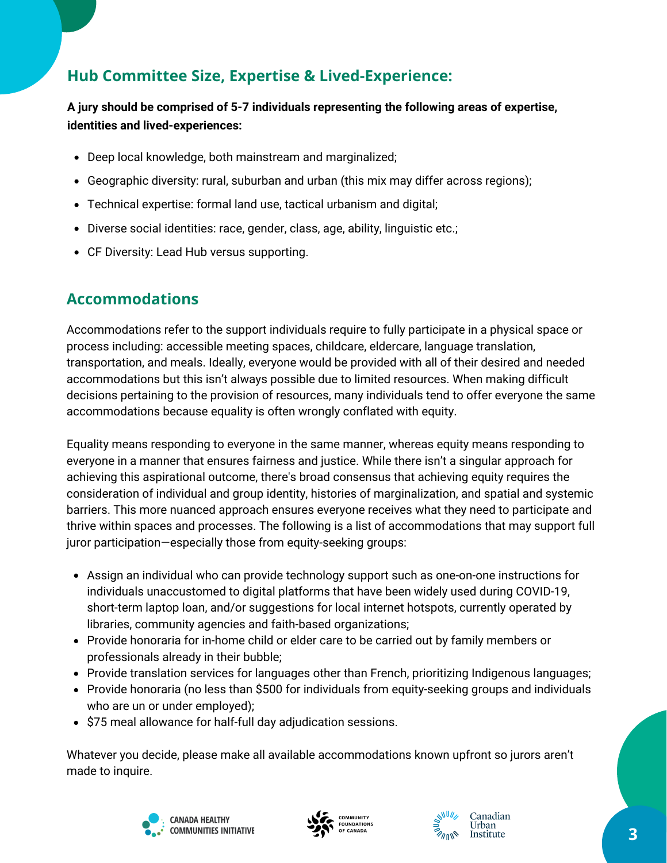# **Hub Committee Size, Expertise & Lived-Experience:**

### **A jury should be comprised of 5-7 individuals representing the following areas of expertise, identities and lived-experiences:**

- Deep local knowledge, both mainstream and marginalized;
- Geographic diversity: rural, suburban and urban (this mix may differ across regions);
- Technical expertise: formal land use, tactical urbanism and digital;
- Diverse social identities: race, gender, class, age, ability, linguistic etc.;
- CF Diversity: Lead Hub versus supporting.

### **Accommodations**

Accommodations refer to the support individuals require to fully participate in a physical space or process including: accessible meeting spaces, childcare, eldercare, language translation, transportation, and meals. Ideally, everyone would be provided with all of their desired and needed accommodations but this isn't always possible due to limited resources. When making difficult decisions pertaining to the provision of resources, many individuals tend to offer everyone the same accommodations because equality is often wrongly conflated with equity.

Equality means responding to everyone in the same manner, whereas equity means responding to everyone in a manner that ensures fairness and justice. While there isn't a singular approach for achieving this aspirational outcome, there's broad consensus that achieving equity requires the consideration of individual and group identity, histories of marginalization, and spatial and systemic barriers. This more nuanced approach ensures everyone receives what they need to participate and thrive within spaces and processes. The following is a list of accommodations that may support full juror participation—especially those from equity-seeking groups:

- Assign an individual who can provide technology support such as one-on-one instructions for individuals unaccustomed to digital platforms that have been widely used during COVID-19, short-term laptop loan, and/or suggestions for local internet hotspots, currently operated by libraries, community agencies and faith-based organizations;
- Provide honoraria for in-home child or elder care to be carried out by family members or professionals already in their bubble;
- Provide translation services for languages other than French, prioritizing Indigenous languages;
- Provide honoraria (no less than \$500 for individuals from equity-seeking groups and individuals who are un or under employed);
- \$75 meal allowance for half-full day adjudication sessions.

Whatever you decide, please make all available accommodations known upfront so jurors aren't made to inquire.





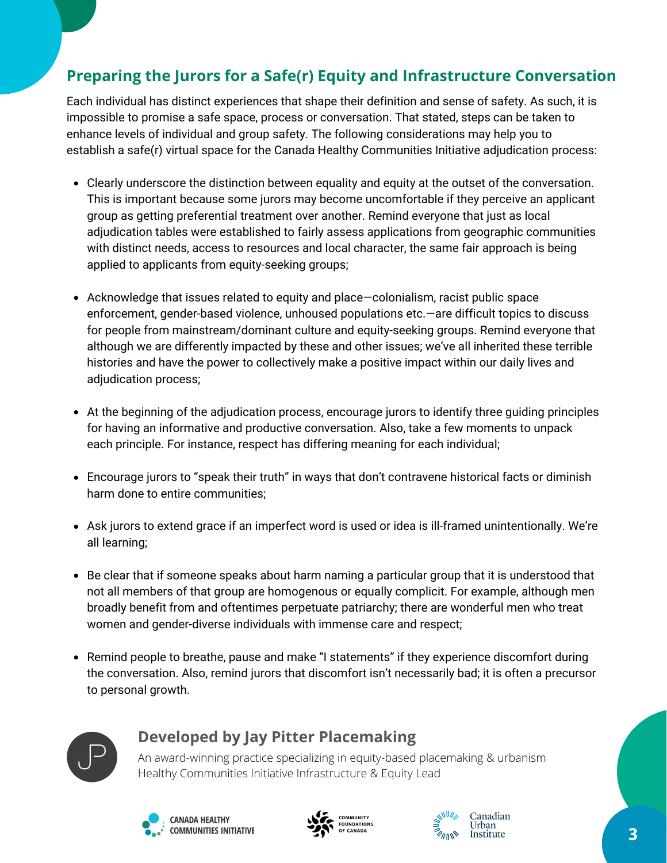# **Preparing the Jurors for a Safe(r) Equity and Infrastructure Conversation**

Each individual has distinct experiences that shape their definition and sense of safety. As such, it is impossible to promise a safe space, process or conversation. That stated, steps can be taken to enhance levels of individual and group safety. The following considerations may help you to establish a safe(r) virtual space for the Canada Healthy Communities Initiative adjudication process:

- Clearly underscore the distinction between equality and equity at the outset of the conversation. This is important because some jurors may become uncomfortable if they perceive an applicant group as getting preferential treatment over another. Remind everyone that just as local adjudication tables were established to fairly assess applications from geographic communities with distinct needs, access to resources and local character, the same fair approach is being applied to applicants from equity-seeking groups;
- Acknowledge that issues related to equity and place—colonialism, racist public space enforcement, gender-based violence, unhoused populations etc.—are difficult topics to discuss for people from mainstream/dominant culture and equity-seeking groups. Remind everyone that although we are differently impacted by these and other issues; we've all inherited these terrible histories and have the power to collectively make a positive impact within our daily lives and adjudication process;
- At the beginning of the adjudication process, encourage jurors to identify three guiding principles for having an informative and productive conversation. Also, take a few moments to unpack each principle. For instance, respect has differing meaning for each individual;
- Encourage jurors to "speak their truth" in ways that don't contravene historical facts or diminish harm done to entire communities;
- Ask jurors to extend grace if an imperfect word is used or idea is ill-framed unintentionally. We're all learning;
- Be clear that if someone speaks about harm naming a particular group that it is understood that not all members of that group are homogenous or equally complicit. For example, although men broadly benefit from and oftentimes perpetuate patriarchy; there are wonderful men who treat women and gender-diverse individuals with immense care and respect;
- Remind people to breathe, pause and make "I statements" if they experience discomfort during the conversation. Also, remind jurors that discomfort isn't necessarily bad; it is often a precursor to personal growth.



### **Developed by Jay Pitter Placemaking**

An award-winning practice specializing in equity-based placemaking & urbanism Healthy Communities Initiative Infrastructure & Equity Lead





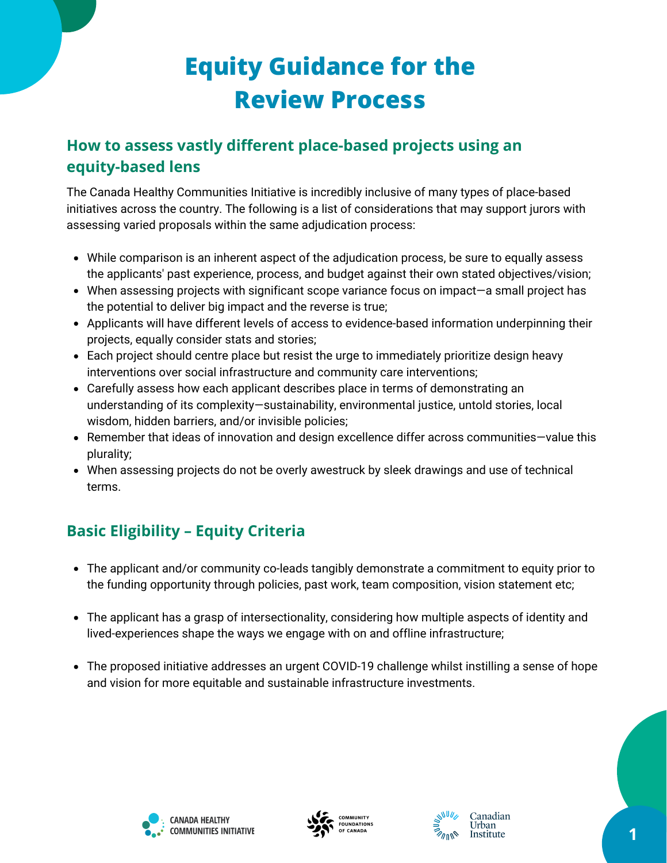# **Equity Guidance for the Review Process**

# **How to assess vastly different place-based projects using an equity-based lens**

The Canada Healthy Communities Initiative is incredibly inclusive of many types of place-based initiatives across the country. The following is a list of considerations that may support jurors with assessing varied proposals within the same adjudication process:

- While comparison is an inherent aspect of the adjudication process, be sure to equally assess the applicants' past experience, process, and budget against their own stated objectives/vision;
- When assessing projects with significant scope variance focus on impact—a small project has the potential to deliver big impact and the reverse is true;
- Applicants will have different levels of access to evidence-based information underpinning their projects, equally consider stats and stories;
- Each project should centre place but resist the urge to immediately prioritize design heavy interventions over social infrastructure and community care interventions;
- Carefully assess how each applicant describes place in terms of demonstrating an understanding of its complexity—sustainability, environmental justice, untold stories, local wisdom, hidden barriers, and/or invisible policies;
- Remember that ideas of innovation and design excellence differ across communities—value this plurality;
- When assessing projects do not be overly awestruck by sleek drawings and use of technical terms.

# **Basic Eligibility – Equity Criteria**

- The applicant and/or community co-leads tangibly demonstrate a commitment to equity prior to the funding opportunity through policies, past work, team composition, vision statement etc;
- The applicant has a grasp of intersectionality, considering how multiple aspects of identity and lived-experiences shape the ways we engage with on and offline infrastructure;
- The proposed initiative addresses an urgent COVID-19 challenge whilst instilling a sense of hope and vision for more equitable and sustainable infrastructure investments.





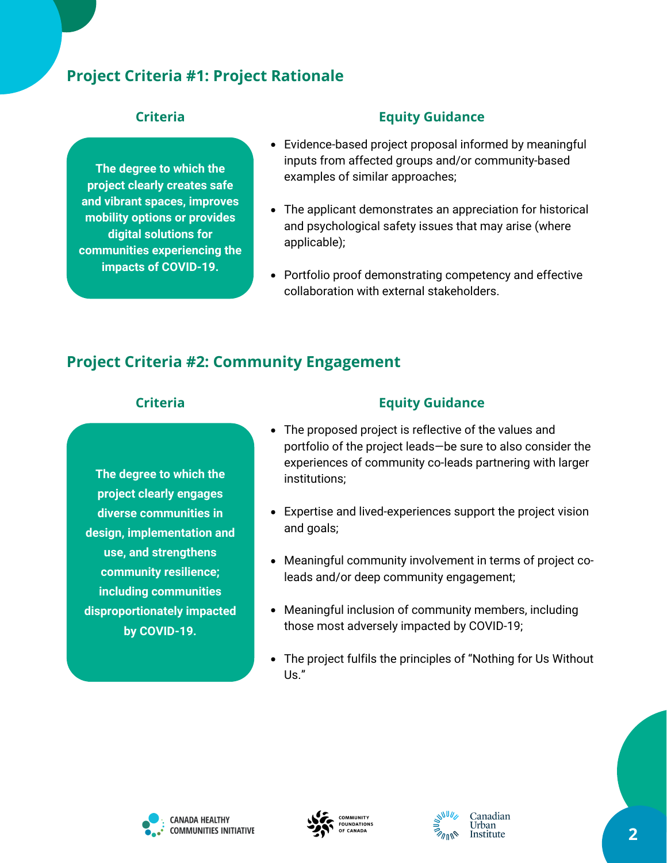## **Project Criteria #1: Project Rationale**

**The degree to which the project clearly creates safe and vibrant spaces, improves mobility options or provides digital solutions for communities experiencing the impacts of COVID-19.**

### **Criteria Equity Guidance**

- Evidence-based project proposal informed by meaningful inputs from affected groups and/or community-based examples of similar approaches;
- The applicant demonstrates an appreciation for historical and psychological safety issues that may arise (where applicable);
- Portfolio proof demonstrating competency and effective collaboration with external stakeholders.

### **Project Criteria #2: Community Engagement**

**The degree to which the project clearly engages diverse communities in design, implementation and use, and strengthens community resilience; including communities disproportionately impacted by COVID-19.**

### **Criteria Equity Guidance**

- The proposed project is reflective of the values and portfolio of the project leads—be sure to also consider the experiences of community co-leads partnering with larger institutions;
- Expertise and lived-experiences support the project vision and goals;
- Meaningful community involvement in terms of project coleads and/or deep community engagement;
- Meaningful inclusion of community members, including those most adversely impacted by COVID-19;
- The project fulfils the principles of "Nothing for Us Without Us."